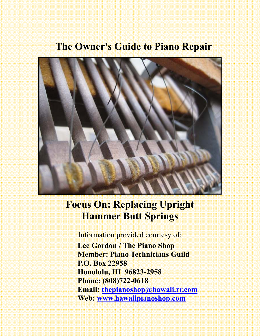## **The Owner's Guide to Piano Repair**



# **Focus On: Replacing Upright Hammer Butt Springs**

Information provided courtesy of:  **Lee Gordon / The Piano Shop Member: Piano Technicians Guild P.O. Box 22958 Honolulu, HI 96823-2958 Phone: (808)722-0618 Email: thepianoshop@hawaii.rr.com Web: www.hawaiipianoshop.com**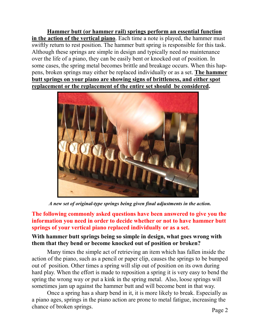**Hammer butt (or hammer rail) springs perform an essential function in the action of the vertical piano**. Each time a note is played, the hammer must swiftly return to rest position. The hammer butt spring is responsible for this task. Although these springs are simple in design and typically need no maintenance over the life of a piano, they can be easily bent or knocked out of position. In some cases, the spring metal becomes brittle and breakage occurs. When this happens, broken springs may either be replaced individually or as a set. **The hammer butt springs on your piano are showing signs of brittleness, and either spot replacement or the replacement of the entire set should be considered.** 



*A new set of original-type springs being given final adjustments in the action.* 

**The following commonly asked questions have been answered to give you the information you need in order to decide whether or not to have hammer butt springs of your vertical piano replaced individually or as a set.** 

#### **With hammer butt springs being so simple in design, what goes wrong with them that they bend or become knocked out of position or broken?**

Many times the simple act of retrieving an item which has fallen inside the action of the piano, such as a pencil or paper clip, causes the springs to be bumped out of position. Other times a spring will slip out of position on its own during hard play. When the effort is made to reposition a spring it is very easy to bend the spring the wrong way or put a kink in the spring metal. Also, loose springs will sometimes jam up against the hammer butt and will become bent in that way.

 Once a spring has a sharp bend in it, it is more likely to break. Especially as a piano ages, springs in the piano action are prone to metal fatigue, increasing the chance of broken springs.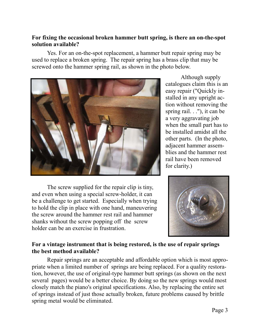#### **For fixing the occasional broken hammer butt spring, is there an on-the-spot solution available?**

 Yes. For an on-the-spot replacement, a hammer butt repair spring may be used to replace a broken spring. The repair spring has a brass clip that may be screwed onto the hammer spring rail, as shown in the photo below.



 The screw supplied for the repair clip is tiny, and even when using a special screw-holder, it can be a challenge to get started. Especially when trying to hold the clip in place with one hand, maneuvering the screw around the hammer rest rail and hammer shanks without the screw popping off the screw holder can be an exercise in frustration.

 Although supply catalogues claim this is an easy repair ("Quickly installed in any upright action without removing the spring rail. . ."), it can be a very aggravating job when the small part has to be installed amidst all the other parts. (In the photo, adjacent hammer assemblies and the hammer rest rail have been removed for clarity.)



#### **For a vintage instrument that is being restored, is the use of repair springs the best method available?**

 Repair springs are an acceptable and affordable option which is most appropriate when a limited number of springs are being replaced. For a quality restoration, however, the use of original-type hammer butt springs (as shown on the next several pages) would be a better choice. By doing so the new springs would most closely match the piano's original specifications. Also, by replacing the entire set of springs instead of just those actually broken, future problems caused by brittle spring metal would be eliminated.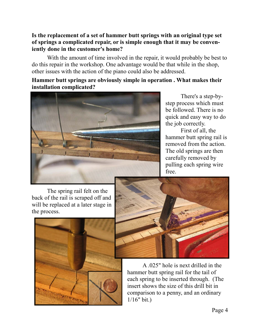#### **Is the replacement of a set of hammer butt springs with an original type set of springs a complicated repair, or is simple enough that it may be conveniently done in the customer's home?**

 With the amount of time involved in the repair, it would probably be best to do this repair in the workshop. One advantage would be that while in the shop, other issues with the action of the piano could also be addressed.

#### **Hammer butt springs are obviously simple in operation . What makes their installation complicated?**



 There's a step-bystep process which must be followed. There is no quick and easy way to do the job correctly.

 First of all, the hammer butt spring rail is removed from the action. The old springs are then carefully removed by pulling each spring wire free.

The spring rail felt on the back of the rail is scraped off and will be replaced at a later stage in the process.





 A .025" hole is next drilled in the hammer butt spring rail for the tail of each spring to be inserted through. (The insert shows the size of this drill bit in comparison to a penny, and an ordinary 1/16" bit.)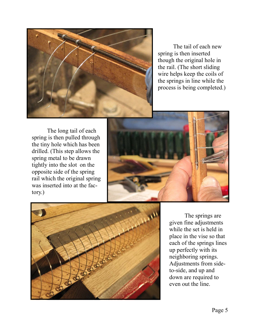

 The tail of each new spring is then inserted though the original hole in the rail. (The short sliding wire helps keep the coils of the springs in line while the process is being completed.)

 The long tail of each spring is then pulled through the tiny hole which has been drilled. (This step allows the spring metal to be drawn tightly into the slot on the opposite side of the spring rail which the original spring was inserted into at the factory.)





 The springs are given fine adjustments while the set is held in place in the vise so that each of the springs lines up perfectly with its neighboring springs. Adjustments from sideto-side, and up and down are required to even out the line.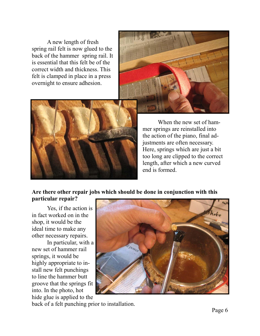A new length of fresh spring rail felt is now glued to the back of the hammer spring rail. It is essential that this felt be of the correct width and thickness. This felt is clamped in place in a press overnight to ensure adhesion.





 When the new set of hammer springs are reinstalled into the action of the piano, final adjustments are often necessary. Here, springs which are just a bit too long are clipped to the correct length, after which a new curved end is formed.

#### **Are there other repair jobs which should be done in conjunction with this particular repair?**

Yes, if the action is in fact worked on in the shop, it would be the ideal time to make any other necessary repairs.

 In particular, with a new set of hammer rail springs, it would be highly appropriate to install new felt punchings to line the hammer butt groove that the springs fit into. In the photo, hot hide glue is applied to the



back of a felt punching prior to installation.